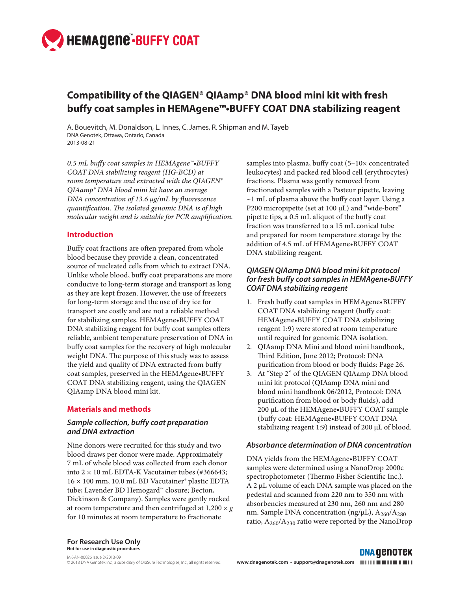

# **Compatibility of the QIAGEN® QIAamp® DNA blood mini kit with fresh buffy coat samples in HEMAgene™•BUFFY COAT DNA stabilizing reagent**

A. Bouevitch, M. Donaldson, L. Innes, C. James, R. Shipman and M. Tayeb DNA Genotek, Ottawa, Ontario, Canada 2013-08-21

*0.5 mL buffy coat samples in HEMAgene™•BUFFY COAT DNA stabilizing reagent (HG-BCD) at room temperature and extracted with the QIAGEN® QIAamp® DNA blood mini kit have an average DNA concentration of 13.6 µg/mL by fluorescence quantification. The isolated genomic DNA is of high molecular weight and is suitable for PCR amplification.* 

#### **Introduction**

Buffy coat fractions are often prepared from whole blood because they provide a clean, concentrated source of nucleated cells from which to extract DNA. Unlike whole blood, buffy coat preparations are more conducive to long-term storage and transport as long as they are kept frozen. However, the use of freezers for long-term storage and the use of dry ice for transport are costly and are not a reliable method for stabilizing samples. HEMAgene•BUFFY COAT DNA stabilizing reagent for buffy coat samples offers reliable, ambient temperature preservation of DNA in buffy coat samples for the recovery of high molecular weight DNA. The purpose of this study was to assess the yield and quality of DNA extracted from buffy coat samples, preserved in the HEMAgene•BUFFY COAT DNA stabilizing reagent, using the QIAGEN QIAamp DNA blood mini kit.

#### **Materials and methods**

### *Sample collection, buffy coat preparation and DNA extraction*

Nine donors were recruited for this study and two blood draws per donor were made. Approximately 7 mL of whole blood was collected from each donor into  $2 \times 10$  mL EDTA-K Vacutainer tubes (#366643; 16 × 100 mm, 10.0 mL BD Vacutainer® plastic EDTA tube; Lavender BD Hemogard™ closure; Becton, Dickinson & Company). Samples were gently rocked at room temperature and then centrifuged at 1,200 × *g* for 10 minutes at room temperature to fractionate

samples into plasma, buffy coat  $(5-10\times$  concentrated leukocytes) and packed red blood cell (erythrocytes) fractions. Plasma was gently removed from fractionated samples with a Pasteur pipette, leaving  $\sim$  1 mL of plasma above the buffy coat layer. Using a P200 micropipette (set at 100 µL) and "wide-bore" pipette tips, a 0.5 mL aliquot of the buffy coat fraction was transferred to a 15 mL conical tube and prepared for room temperature storage by the addition of 4.5 mL of HEMAgene•BUFFY COAT DNA stabilizing reagent.

### *QIAGEN QIAamp DNA blood mini kit protocol*  **for fresh buffy coat samples in HEMAgene•BUFFY**  *COAT DNA stabilizing reagent*

- 1. Fresh buffy coat samples in HEMAgene•BUFFY COAT DNA stabilizing reagent (buffy coat: HEMAgene•BUFFY COAT DNA stabilizing reagent 1:9) were stored at room temperature until required for genomic DNA isolation.
- 2. QIAamp DNA Mini and blood mini handbook, Third Edition, June 2012; Protocol: DNA purification from blood or body fluids: Page 26.
- 3. At "Step 2" of the QIAGEN QIAamp DNA blood mini kit protocol (QIAamp DNA mini and blood mini handbook 06/2012, Protocol: DNA purification from blood or body fluids), add 200 µL of the HEMAgene•BUFFY COAT sample (buffy coat: HEMAgene•BUFFY COAT DNA stabilizing reagent 1:9) instead of 200 µL of blood.

#### *Absorbance determination of DNA concentration*

DNA yields from the HEMAgene•BUFFY COAT samples were determined using a NanoDrop 2000c spectrophotometer (Thermo Fisher Scientific Inc.). A 2 µL volume of each DNA sample was placed on the pedestal and scanned from 220 nm to 350 nm with absorbencies measured at 230 nm, 260 nm and 280 nm. Sample DNA concentration (ng/ $\mu$ L), A<sub>260</sub>/A<sub>280</sub> ratio,  $A_{260}/A_{230}$  ratio were reported by the NanoDrop

**For Research Use Only Not for use in diagnostic procedures**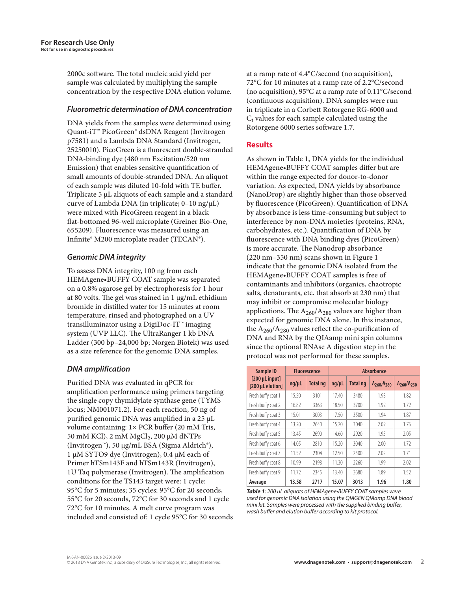2000c software. The total nucleic acid yield per sample was calculated by multiplying the sample concentration by the respective DNA elution volume.

#### **Fluorometric determination of DNA concentration**

DNA yields from the samples were determined using Quant-iT™ PicoGreen® dsDNA Reagent (Invitrogen p7581) and a Lambda DNA Standard (Invitrogen, 25250010). PicoGreen is a fluorescent double-stranded DNA-binding dye (480 nm Excitation/520 nm Emission) that enables sensitive quantification of small amounts of double-stranded DNA. An aliquot of each sample was diluted 10-fold with TE buffer. Triplicate 5 μL aliquots of each sample and a standard curve of Lambda DNA (in triplicate; 0–10 ng/μL) were mixed with PicoGreen reagent in a black flat-bottomed 96-well microplate (Greiner Bio-One, 655209). Fluorescence was measured using an Infinite® M200 microplate reader (TECAN®).

# *Genomic DNA integrity*

To assess DNA integrity, 100 ng from each HEMAgene•BUFFY COAT sample was separated on a 0.8% agarose gel by electrophoresis for 1 hour at 80 volts. The gel was stained in 1 µg/mL ethidium bromide in distilled water for 15 minutes at room temperature, rinsed and photographed on a UV transilluminator using a DigiDoc-IT™ imaging system (UVP LLC). The UltraRanger 1 kb DNA Ladder (300 bp–24,000 bp; Norgen Biotek) was used as a size reference for the genomic DNA samples.

# *DNA amplification*

Purified DNA was evaluated in qPCR for amplification performance using primers targeting the single copy thymidylate synthase gene (TYMS locus; NM001071.2). For each reaction, 50 ng of purified genomic DNA was amplified in a 25 µL volume containing: 1× PCR buffer (20 mM Tris, 50 mM KCl), 2 mM MgCl<sub>2</sub>, 200 μM dNTPs (Invitrogen™), 50 µg/mL BSA (Sigma Aldrich®), 1 µM SYTO9 dye (Invitrogen), 0.4 µM each of Primer hTSm143F and hTSm143R (Invitrogen), 1U Taq polymerase (Invitrogen). The amplification conditions for the TS143 target were: 1 cycle: 95°C for 5 minutes; 35 cycles: 95°C for 20 seconds, 55°C for 20 seconds, 72°C for 30 seconds and 1 cycle 72°C for 10 minutes. A melt curve program was included and consisted of: 1 cycle 95°C for 30 seconds at a ramp rate of 4.4°C/second (no acquisition), 72°C for 10 minutes at a ramp rate of 2.2°C/second (no acquisition), 95°C at a ramp rate of 0.11°C/second (continuous acquisition). DNA samples were run in triplicate in a Corbett Rotorgene RG-6000 and  $C<sub>t</sub>$  values for each sample calculated using the Rotorgene 6000 series software 1.7.

# **Results**

As shown in Table 1, DNA yields for the individual HEMAgene•BUFFY COAT samples differ but are within the range expected for donor-to-donor variation. As expected, DNA yields by absorbance (NanoDrop) are slightly higher than those observed by fluorescence (PicoGreen). Quantification of DNA by absorbance is less time-consuming but subject to interference by non-DNA moieties (proteins, RNA, carbohydrates, etc.). Quantification of DNA by fluorescence with DNA binding dyes (PicoGreen) is more accurate. The Nanodrop absorbance (220 nm–350 nm) scans shown in Figure 1 indicate that the genomic DNA isolated from the HEMAgene•BUFFY COAT samples is free of contaminants and inhibitors (organics, chaotropic salts, denaturants, etc. that absorb at 230 nm) that may inhibit or compromise molecular biology applications. The  $A_{260}/A_{280}$  values are higher than expected for genomic DNA alone. In this instance, the  $A_{260}/A_{280}$  values reflect the co-purification of DNA and RNA by the QIAamp mini spin columns since the optional RNAse A digestion step in the protocol was not performed for these samples.

| Sample ID<br>[200 µL input]<br>[200 µL elution] | <b>Fluorescence</b> |                 | <b>Absorbance</b> |                 |                   |                   |
|-------------------------------------------------|---------------------|-----------------|-------------------|-----------------|-------------------|-------------------|
|                                                 | ng/µL               | <b>Total ng</b> | $nq/\mu L$        | <b>Total ng</b> | $A_{260}/A_{280}$ | $A_{260}/A_{230}$ |
| Fresh buffy coat 1                              | 15.50               | 3101            | 17.40             | 3480            | 1.93              | 1.82              |
| Fresh buffy coat 2                              | 16.82               | 3363            | 18.50             | 3700            | 1.92              | 1.72              |
| Fresh buffy coat 3                              | 15.01               | 3003            | 17.50             | 3500            | 1.94              | 1.87              |
| Fresh buffy coat 4                              | 13.20               | 2640            | 15.20             | 3040            | 7.02              | 1.76              |
| Fresh buffy coat 5                              | 13.45               | 2690            | 14.60             | 2920            | 1.95              | 2.05              |
| Fresh buffy coat 6                              | 14.05               | 2810            | 15.20             | 3040            | 7.00              | 1.72              |
| Fresh buffy coat 7                              | 11.52               | 2304            | 12.50             | 2500            | 2.02              | 1.71              |
| Fresh buffy coat 8                              | 10.99               | 2198            | 11.30             | 2260            | 1.99              | 2.02              |
| Fresh buffy coat 9                              | 11.72               | 2345            | 13.40             | 2680            | 1.89              | 1.52              |
| Average                                         | 13.58               | 2717            | 15.07             | 3013            | 1.96              | 1.80              |

*Table 1*: 200 uL aliquots of HEMAgene•BUFFY COAT samples were used for genomic DNA isolation using the QIAGEN QIAamp DNA blood mini kit. Samples were processed with the supplied binding buffer, wash buffer and elution buffer according to kit protocol.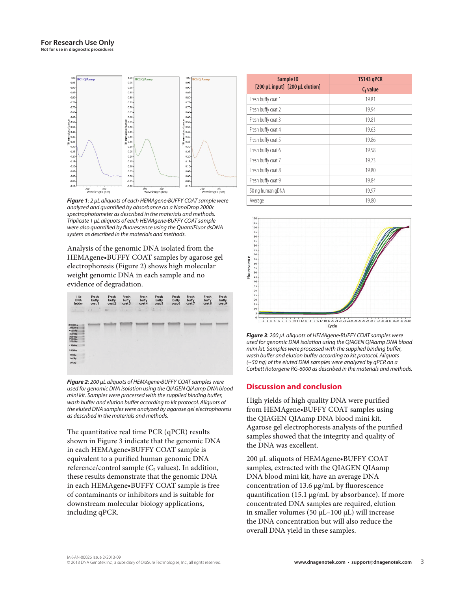

*Figure 1*: 2 µL aliquots of each HEMAgene•BUFFY COAT sample were analyzed and quantified by absorbance on a NanoDrop 2000c spectrophotometer as described in the materials and methods. Triplicate 1 µL aliquots of each HEMAgene•BUFFY COAT sample were also quantified by fluorescence using the QuantiFluor dsDNA system as described in the materials and methods.

Analysis of the genomic DNA isolated from the HEMAgene•BUFFY COAT samples by agarose gel electrophoresis (Figure 2) shows high molecular weight genomic DNA in each sample and no evidence of degradation.



*Figure 2*: 200 µL aliquots of HEMAgene•BUFFY COAT samples were used for genomic DNA isolation using the QIAGEN QIAamp DNA blood mini kit. Samples were processed with the supplied binding buffer, wash buffer and elution buffer according to kit protocol. Aliquots of the eluted DNA samples were analyzed by agarose gel electrophoresis as described in the materials and methods.

The quantitative real time PCR (qPCR) results shown in Figure 3 indicate that the genomic DNA in each HEMAgene•BUFFY COAT sample is equivalent to a purified human genomic DNA reference/control sample ( $C_t$  values). In addition, these results demonstrate that the genomic DNA in each HEMAgene•BUFFY COAT sample is free of contaminants or inhibitors and is suitable for downstream molecular biology applications, including qPCR.

| Sample ID                       | TS143 gPCR  |  |  |
|---------------------------------|-------------|--|--|
| [200 µL input] [200 µL elution] | $C_t$ value |  |  |
| Fresh buffy coat 1              | 19.81       |  |  |
| Fresh buffy coat 2              | 19.94       |  |  |
| Fresh buffy coat 3              | 19.81       |  |  |
| Fresh buffy coat 4              | 19.63       |  |  |
| Fresh buffy coat 5              | 19.86       |  |  |
| Fresh buffy coat 6              | 19.58       |  |  |
| Fresh buffy coat 7              | 19.73       |  |  |
| Fresh buffy coat 8              | 19.80       |  |  |
| Fresh buffy coat 9              | 19.84       |  |  |
| 50 ng human gDNA                | 19.97       |  |  |
| Average                         | 19.80       |  |  |



*Figure 3*: 200 µL aliquots of HEMAgene•BUFFY COAT samples were used for genomic DNA isolation using the QIAGEN QIAamp DNA blood mini kit. Samples were processed with the supplied binding buffer, wash buffer and elution buffer according to kit protocol. Aliquots (~50 ng) of the eluted DNA samples were analyzed by qPCR on a Corbett Rotorgene RG-6000 as described in the materials and methods.

# **Discussion and conclusion**

High yields of high quality DNA were purified from HEMAgene•BUFFY COAT samples using the QIAGEN QIAamp DNA blood mini kit. Agarose gel electrophoresis analysis of the purified samples showed that the integrity and quality of the DNA was excellent.

200 µL aliquots of HEMAgene•BUFFY COAT samples, extracted with the QIAGEN QIAamp DNA blood mini kit, have an average DNA concentration of 13.6  $\mu$ g/mL by fluorescence quantification (15.1  $\mu$ g/mL by absorbance). If more concentrated DNA samples are required, elution in smaller volumes (50  $\mu$ L–100  $\mu$ L) will increase the DNA concentration but will also reduce the overall DNA yield in these samples.